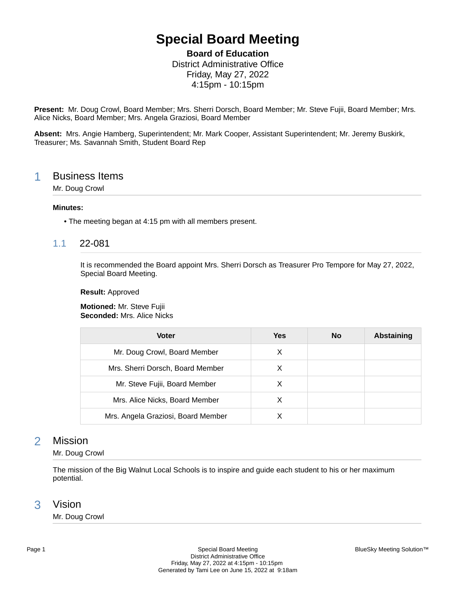# **Special Board Meeting**

**Board of Education**

District Administrative Office Friday, May 27, 2022 4:15pm - 10:15pm

**Present:** Mr. Doug Crowl, Board Member; Mrs. Sherri Dorsch, Board Member; Mr. Steve Fujii, Board Member; Mrs. Alice Nicks, Board Member; Mrs. Angela Graziosi, Board Member

**Absent:** Mrs. Angie Hamberg, Superintendent; Mr. Mark Cooper, Assistant Superintendent; Mr. Jeremy Buskirk, Treasurer; Ms. Savannah Smith, Student Board Rep

## 1 Business Items

Mr. Doug Crowl

#### **Minutes:**

• The meeting began at 4:15 pm with all members present.

## 1.1 22-081

It is recommended the Board appoint Mrs. Sherri Dorsch as Treasurer Pro Tempore for May 27, 2022, Special Board Meeting.

#### **Result:** Approved

**Motioned:** Mr. Steve Fujii **Seconded:** Mrs. Alice Nicks

| Voter                              | Yes | No | <b>Abstaining</b> |
|------------------------------------|-----|----|-------------------|
| Mr. Doug Crowl, Board Member       | х   |    |                   |
| Mrs. Sherri Dorsch, Board Member   | X   |    |                   |
| Mr. Steve Fujii, Board Member      | X   |    |                   |
| Mrs. Alice Nicks, Board Member     | х   |    |                   |
| Mrs. Angela Graziosi, Board Member |     |    |                   |

## 2 Mission

Mr. Doug Crowl

The mission of the Big Walnut Local Schools is to inspire and guide each student to his or her maximum potential.

## 3 Vision

Mr. Doug Crowl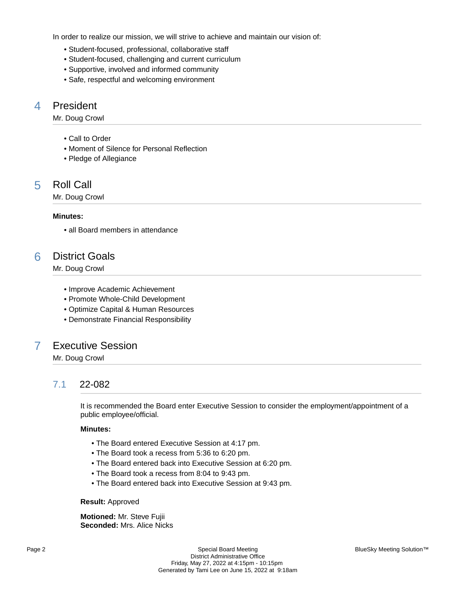In order to realize our mission, we will strive to achieve and maintain our vision of:

- Student-focused, professional, collaborative staff
- Student-focused, challenging and current curriculum
- Supportive, involved and informed community
- Safe, respectful and welcoming environment

## 4 President

Mr. Doug Crowl

- Call to Order
- Moment of Silence for Personal Reflection
- Pledge of Allegiance

## 5 Roll Call

Mr. Doug Crowl

#### **Minutes:**

• all Board members in attendance

## 6 District Goals

Mr. Doug Crowl

- Improve Academic Achievement
- Promote Whole-Child Development
- Optimize Capital & Human Resources
- Demonstrate Financial Responsibility

## 7 Executive Session

Mr. Doug Crowl

## 7.1 22-082

It is recommended the Board enter Executive Session to consider the employment/appointment of a public employee/official.

### **Minutes:**

- The Board entered Executive Session at 4:17 pm.
- The Board took a recess from 5:36 to 6:20 pm.
- The Board entered back into Executive Session at 6:20 pm.
- The Board took a recess from 8:04 to 9:43 pm.
- The Board entered back into Executive Session at 9:43 pm.

#### **Result:** Approved

**Motioned:** Mr. Steve Fujii **Seconded:** Mrs. Alice Nicks